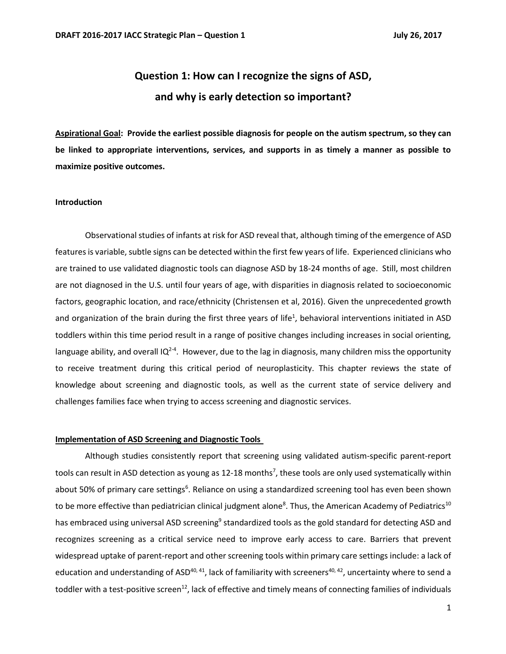# **Question 1: How can I recognize the signs of ASD, and why is early detection so important?**

**Aspirational Goal: Provide the earliest possible diagnosis for people on the autism spectrum, so they can be linked to appropriate interventions, services, and supports in as timely a manner as possible to maximize positive outcomes.**

# **Introduction**

Observational studies of infants at risk for ASD reveal that, although timing of the emergence of ASD features is variable, subtle signs can be detected within the first few years of life. Experienced clinicians who are trained to use validated diagnostic tools can diagnose ASD by 18-24 months of age. Still, most children are not diagnosed in the U.S. until four years of age, with disparities in diagnosis related to socioeconomic factors, geographic location, and race/ethnicity (Christensen et al, 2016). Given the unprecedented growth and organization of the brain during the first three years of life<sup>1</sup>, behavioral interventions initiated in ASD toddlers within this time period result in a range of positive changes including increases in social orienting, language ability, and overall IQ<sup>2-4</sup>. However, due to the lag in diagnosis, many children miss the opportunity to receive treatment during this critical period of neuroplasticity. This chapter reviews the state of knowledge about screening and diagnostic tools, as well as the current state of service delivery and challenges families face when trying to access screening and diagnostic services.

#### **Implementation of ASD Screening and Diagnostic Tools**

Although studies consistently report that screening using validated autism-specific parent-report tools can result in ASD detection as young as 12-18 months<sup>7</sup>, these tools are only used systematically within about 50% of primary care settings<sup>6</sup>. Reliance on using a standardized screening tool has even been shown to be more effective than pediatrician clinical judgment alone<sup>8</sup>. Thus, the American Academy of Pediatrics<sup>10</sup> has embraced using universal ASD screening<sup>9</sup> standardized tools as the gold standard for detecting ASD and recognizes screening as a critical service need to improve early access to care. Barriers that prevent widespread uptake of parent-report and other screening tools within primary care settings include: a lack of education and understanding of ASD<sup>40, 41</sup>, lack of familiarity with screeners<sup>40, 42</sup>, uncertainty where to send a toddler with a test-positive screen<sup>12</sup>, lack of effective and timely means of connecting families of individuals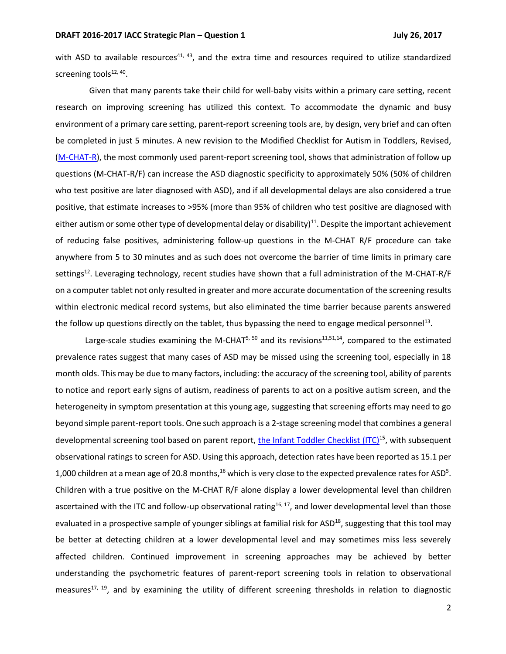with ASD to available resources<sup>41, 43</sup>, and the extra time and resources required to utilize standardized screening tools<sup>12, 40</sup>.

 Given that many parents take their child for well-baby visits within a primary care setting, recent research on improving screening has utilized this context. To accommodate the dynamic and busy environment of a primary care setting, parent-report screening tools are, by design, very brief and can often be completed in just 5 minutes. A new revision to the Modified Checklist for Autism in Toddlers, Revised, [\(M-CHAT-R\)](https://www.m-chat.org/index.php), the most commonly used parent-report screening tool, shows that administration of follow up questions (M-CHAT-R/F) can increase the ASD diagnostic specificity to approximately 50% (50% of children who test positive are later diagnosed with ASD), and if all developmental delays are also considered a true positive, that estimate increases to >95% (more than 95% of children who test positive are diagnosed with either autism or some other type of developmental delay or disability)<sup>11</sup>. Despite the important achievement of reducing false positives, administering follow-up questions in the M-CHAT R/F procedure can take anywhere from 5 to 30 minutes and as such does not overcome the barrier of time limits in primary care settings<sup>12</sup>. Leveraging technology, recent studies have shown that a full administration of the M-CHAT-R/F on a computer tablet not only resulted in greater and more accurate documentation of the screening results within electronic medical record systems, but also eliminated the time barrier because parents answered the follow up questions directly on the tablet, thus bypassing the need to engage medical personnel<sup>13</sup>.

Large-scale studies examining the M-CHAT<sup>5, 50</sup> and its revisions<sup>11,51,14</sup>, compared to the estimated prevalence rates suggest that many cases of ASD may be missed using the screening tool, especially in 18 month olds. This may be due to many factors, including: the accuracy of the screening tool, ability of parents to notice and report early signs of autism, readiness of parents to act on a positive autism screen, and the heterogeneity in symptom presentation at this young age, suggesting that screening efforts may need to go beyond simple parent-report tools. One such approach is a 2-stage screening model that combines a general developmental screening tool based on parent report, [the Infant Toddler Checklist](http://www.brookespublishing.com/resource-center/screening-and-assessment/csbs/csbs-dp/csbs-dp-itc/)  $(ITC)^{15}$ , with subsequent observational ratings to screen for ASD. Using this approach, detection rates have been reported as 15.1 per 1,000 children at a mean age of 20.8 months,  $^{16}$  which is very close to the expected prevalence rates for ASD<sup>5</sup>. Children with a true positive on the M-CHAT R/F alone display a lower developmental level than children ascertained with the ITC and follow-up observational rating<sup>16, 17</sup>, and lower developmental level than those evaluated in a prospective sample of younger siblings at familial risk for ASD<sup>18</sup>, suggesting that this tool may be better at detecting children at a lower developmental level and may sometimes miss less severely affected children. Continued improvement in screening approaches may be achieved by better understanding the psychometric features of parent-report screening tools in relation to observational measures<sup>17, 19</sup>, and by examining the utility of different screening thresholds in relation to diagnostic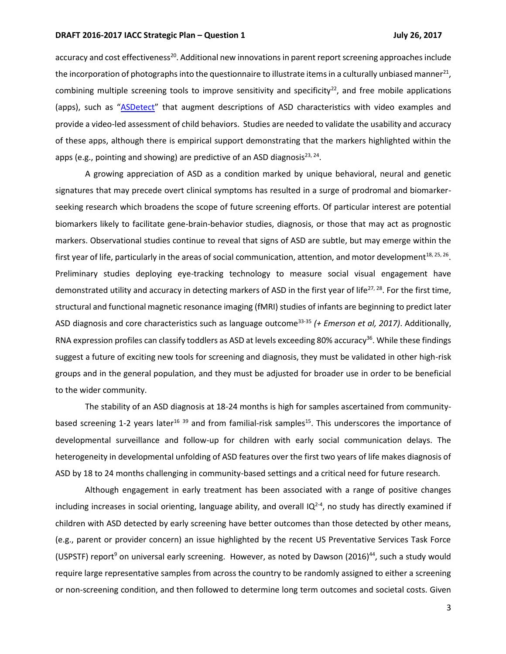accuracy and cost effectiveness<sup>20</sup>. Additional new innovations in parent report screening approaches include the incorporation of photographs into the questionnaire to illustrate items in a culturally unbiased manner $^{21}$ , combining multiple screening tools to improve sensitivity and specificity $^{22}$ , and free mobile applications (apps), such as "[ASDetect](http://asdetect.org/)" that augment descriptions of ASD characteristics with video examples and provide a video-led assessment of child behaviors. Studies are needed to validate the usability and accuracy of these apps, although there is empirical support demonstrating that the markers highlighted within the apps (e.g., pointing and showing) are predictive of an ASD diagnosis<sup>23, 24</sup>.

A growing appreciation of ASD as a condition marked by unique behavioral, neural and genetic signatures that may precede overt clinical symptoms has resulted in a surge of prodromal and biomarkerseeking research which broadens the scope of future screening efforts. Of particular interest are potential biomarkers likely to facilitate gene-brain-behavior studies, diagnosis, or those that may act as prognostic markers. Observational studies continue to reveal that signs of ASD are subtle, but may emerge within the first year of life, particularly in the areas of social communication, attention, and motor development $^{18, 25, 26}$ . Preliminary studies deploying eye-tracking technology to measure social visual engagement have demonstrated utility and accuracy in detecting markers of ASD in the first year of life<sup>27, 28</sup>. For the first time, structural and functional magnetic resonance imaging (fMRI) studies of infants are beginning to predict later ASD diagnosis and core characteristics such as language outcome33-35 *(+ Emerson et al, 2017)*. Additionally, RNA expression profiles can classify toddlers as ASD at levels exceeding 80% accuracy<sup>36</sup>. While these findings suggest a future of exciting new tools for screening and diagnosis, they must be validated in other high-risk groups and in the general population, and they must be adjusted for broader use in order to be beneficial to the wider community.

The stability of an ASD diagnosis at 18-24 months is high for samples ascertained from communitybased screening 1-2 years later<sup>16 39</sup> and from familial-risk samples<sup>15</sup>. This underscores the importance of developmental surveillance and follow-up for children with early social communication delays. The heterogeneity in developmental unfolding of ASD features over the first two years of life makes diagnosis of ASD by 18 to 24 months challenging in community-based settings and a critical need for future research.

Although engagement in early treatment has been associated with a range of positive changes including increases in social orienting, language ability, and overall IQ<sup>2-4</sup>, no study has directly examined if children with ASD detected by early screening have better outcomes than those detected by other means, (e.g., parent or provider concern) an issue highlighted by the recent US Preventative Services Task Force (USPSTF) report<sup>9</sup> on universal early screening. However, as noted by Dawson (2016)<sup>44</sup>, such a study would require large representative samples from across the country to be randomly assigned to either a screening or non-screening condition, and then followed to determine long term outcomes and societal costs. Given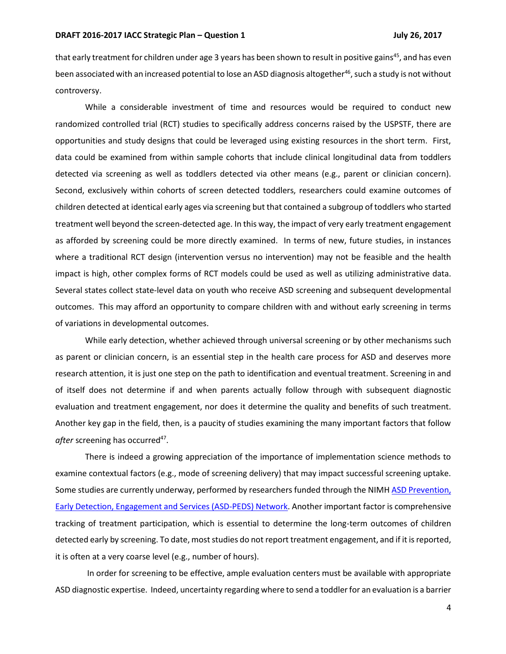that early treatment for children under age 3 years has been shown to result in positive gains<sup>45</sup>, and has even been associated with an increased potential to lose an ASD diagnosis altogether<sup>46</sup>, such a study is not without controversy.

While a considerable investment of time and resources would be required to conduct new randomized controlled trial (RCT) studies to specifically address concerns raised by the USPSTF, there are opportunities and study designs that could be leveraged using existing resources in the short term. First, data could be examined from within sample cohorts that include clinical longitudinal data from toddlers detected via screening as well as toddlers detected via other means (e.g., parent or clinician concern). Second, exclusively within cohorts of screen detected toddlers, researchers could examine outcomes of children detected at identical early ages via screening but that contained a subgroup of toddlers who started treatment well beyond the screen-detected age. In this way, the impact of very early treatment engagement as afforded by screening could be more directly examined. In terms of new, future studies, in instances where a traditional RCT design (intervention versus no intervention) may not be feasible and the health impact is high, other complex forms of RCT models could be used as well as utilizing administrative data. Several states collect state-level data on youth who receive ASD screening and subsequent developmental outcomes. This may afford an opportunity to compare children with and without early screening in terms of variations in developmental outcomes.

While early detection, whether achieved through universal screening or by other mechanisms such as parent or clinician concern, is an essential step in the health care process for ASD and deserves more research attention, it is just one step on the path to identification and eventual treatment. Screening in and of itself does not determine if and when parents actually follow through with subsequent diagnostic evaluation and treatment engagement, nor does it determine the quality and benefits of such treatment. Another key gap in the field, then, is a paucity of studies examining the many important factors that follow after screening has occurred<sup>47</sup>.

There is indeed a growing appreciation of the importance of implementation science methods to examine contextual factors (e.g., mode of screening delivery) that may impact successful screening uptake. Some studies are currently underway, performed by researchers funded through the NIMH [ASD Prevention,](https://grants.nih.gov/grants/guide/rfa-files/RFA-MH-14-100.html)  [Early Detection, Engagement and Services \(ASD-PEDS\) Network.](https://grants.nih.gov/grants/guide/rfa-files/RFA-MH-14-100.html) Another important factor is comprehensive tracking of treatment participation, which is essential to determine the long-term outcomes of children detected early by screening. To date, most studies do not report treatment engagement, and if it is reported, it is often at a very coarse level (e.g., number of hours).

In order for screening to be effective, ample evaluation centers must be available with appropriate ASD diagnostic expertise. Indeed, uncertainty regarding where to send a toddler for an evaluation is a barrier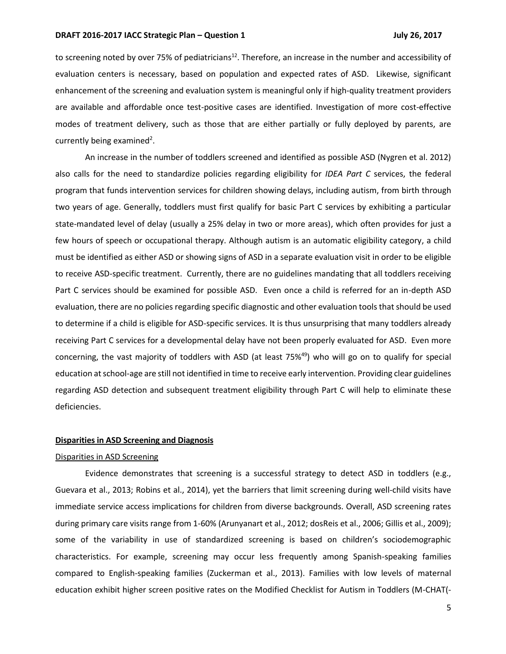to screening noted by over 75% of pediatricians<sup>12</sup>. Therefore, an increase in the number and accessibility of evaluation centers is necessary, based on population and expected rates of ASD. Likewise, significant enhancement of the screening and evaluation system is meaningful only if high-quality treatment providers are available and affordable once test-positive cases are identified. Investigation of more cost-effective modes of treatment delivery, such as those that are either partially or fully deployed by parents, are currently being examined<sup>2</sup>.

An increase in the number of toddlers screened and identified as possible ASD (Nygren et al. 2012) also calls for the need to standardize policies regarding eligibility for *IDEA Part C* services, the federal program that funds intervention services for children showing delays, including autism, from birth through two years of age. Generally, toddlers must first qualify for basic Part C services by exhibiting a particular state-mandated level of delay (usually a 25% delay in two or more areas), which often provides for just a few hours of speech or occupational therapy. Although autism is an automatic eligibility category, a child must be identified as either ASD or showing signs of ASD in a separate evaluation visit in order to be eligible to receive ASD-specific treatment. Currently, there are no guidelines mandating that all toddlers receiving Part C services should be examined for possible ASD. Even once a child is referred for an in-depth ASD evaluation, there are no policies regarding specific diagnostic and other evaluation tools that should be used to determine if a child is eligible for ASD-specific services. It is thus unsurprising that many toddlers already receiving Part C services for a developmental delay have not been properly evaluated for ASD. Even more concerning, the vast majority of toddlers with ASD (at least  $75\frac{49}{9}$ ) who will go on to qualify for special education at school-age are still not identified in time to receive early intervention. Providing clear guidelines regarding ASD detection and subsequent treatment eligibility through Part C will help to eliminate these deficiencies.

#### **Disparities in ASD Screening and Diagnosis**

#### Disparities in ASD Screening

Evidence demonstrates that screening is a successful strategy to detect ASD in toddlers (e.g., Guevara et al., 2013; Robins et al., 2014), yet the barriers that limit screening during well-child visits have immediate service access implications for children from diverse backgrounds. Overall, ASD screening rates during primary care visits range from 1-60% (Arunyanart et al., 2012; dosReis et al., 2006; Gillis et al., 2009); some of the variability in use of standardized screening is based on children's sociodemographic characteristics. For example, screening may occur less frequently among Spanish-speaking families compared to English-speaking families (Zuckerman et al., 2013). Families with low levels of maternal education exhibit higher screen positive rates on the Modified Checklist for Autism in Toddlers (M-CHAT(-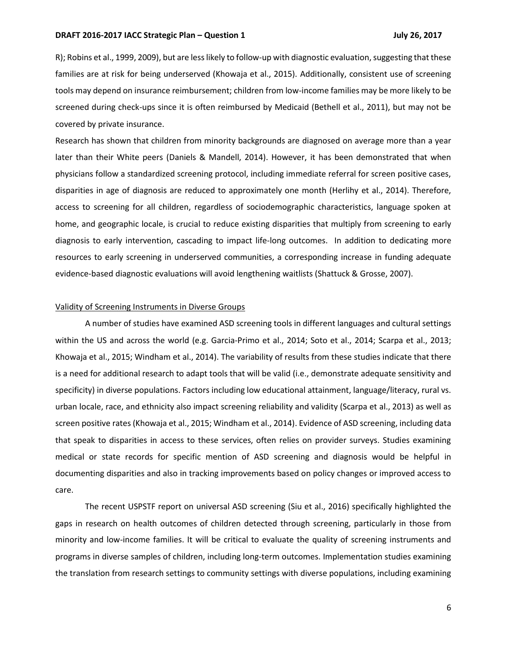R); Robins et al., 1999, 2009), but are less likely to follow-up with diagnostic evaluation, suggesting that these families are at risk for being underserved (Khowaja et al., 2015). Additionally, consistent use of screening tools may depend on insurance reimbursement; children from low-income families may be more likely to be screened during check-ups since it is often reimbursed by Medicaid (Bethell et al., 2011), but may not be covered by private insurance.

Research has shown that children from minority backgrounds are diagnosed on average more than a year later than their White peers (Daniels & Mandell, 2014). However, it has been demonstrated that when physicians follow a standardized screening protocol, including immediate referral for screen positive cases, disparities in age of diagnosis are reduced to approximately one month (Herlihy et al., 2014). Therefore, access to screening for all children, regardless of sociodemographic characteristics, language spoken at home, and geographic locale, is crucial to reduce existing disparities that multiply from screening to early diagnosis to early intervention, cascading to impact life-long outcomes. In addition to dedicating more resources to early screening in underserved communities, a corresponding increase in funding adequate evidence-based diagnostic evaluations will avoid lengthening waitlists (Shattuck & Grosse, 2007).

#### Validity of Screening Instruments in Diverse Groups

A number of studies have examined ASD screening tools in different languages and cultural settings within the US and across the world (e.g. Garcia-Primo et al., 2014; Soto et al., 2014; Scarpa et al., 2013; Khowaja et al., 2015; Windham et al., 2014). The variability of results from these studies indicate that there is a need for additional research to adapt tools that will be valid (i.e., demonstrate adequate sensitivity and specificity) in diverse populations. Factors including low educational attainment, language/literacy, rural vs. urban locale, race, and ethnicity also impact screening reliability and validity (Scarpa et al., 2013) as well as screen positive rates (Khowaja et al., 2015; Windham et al., 2014). Evidence of ASD screening, including data that speak to disparities in access to these services, often relies on provider surveys. Studies examining medical or state records for specific mention of ASD screening and diagnosis would be helpful in documenting disparities and also in tracking improvements based on policy changes or improved access to care.

The recent USPSTF report on universal ASD screening (Siu et al., 2016) specifically highlighted the gaps in research on health outcomes of children detected through screening, particularly in those from minority and low-income families. It will be critical to evaluate the quality of screening instruments and programs in diverse samples of children, including long-term outcomes. Implementation studies examining the translation from research settings to community settings with diverse populations, including examining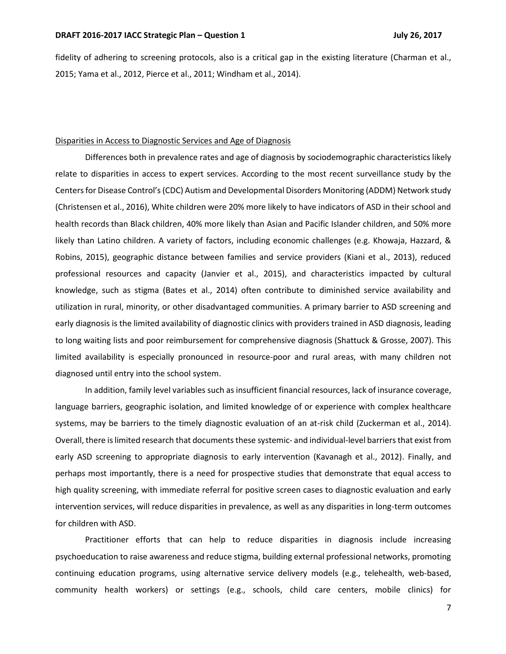fidelity of adhering to screening protocols, also is a critical gap in the existing literature (Charman et al., 2015; Yama et al., 2012, Pierce et al., 2011; Windham et al., 2014).

# Disparities in Access to Diagnostic Services and Age of Diagnosis

Differences both in prevalence rates and age of diagnosis by sociodemographic characteristics likely relate to disparities in access to expert services. According to the most recent surveillance study by the Centers for Disease Control's(CDC) Autism and Developmental Disorders Monitoring (ADDM) Network study (Christensen et al., 2016), White children were 20% more likely to have indicators of ASD in their school and health records than Black children, 40% more likely than Asian and Pacific Islander children, and 50% more likely than Latino children. A variety of factors, including economic challenges (e.g. Khowaja, Hazzard, & Robins, 2015), geographic distance between families and service providers (Kiani et al., 2013), reduced professional resources and capacity (Janvier et al., 2015), and characteristics impacted by cultural knowledge, such as stigma (Bates et al., 2014) often contribute to diminished service availability and utilization in rural, minority, or other disadvantaged communities. A primary barrier to ASD screening and early diagnosis is the limited availability of diagnostic clinics with providers trained in ASD diagnosis, leading to long waiting lists and poor reimbursement for comprehensive diagnosis (Shattuck & Grosse, 2007). This limited availability is especially pronounced in resource-poor and rural areas, with many children not diagnosed until entry into the school system.

In addition, family level variables such as insufficient financial resources, lack of insurance coverage, language barriers, geographic isolation, and limited knowledge of or experience with complex healthcare systems, may be barriers to the timely diagnostic evaluation of an at-risk child (Zuckerman et al., 2014). Overall, there is limited research that documents these systemic- and individual-level barriers that exist from early ASD screening to appropriate diagnosis to early intervention (Kavanagh et al., 2012). Finally, and perhaps most importantly, there is a need for prospective studies that demonstrate that equal access to high quality screening, with immediate referral for positive screen cases to diagnostic evaluation and early intervention services, will reduce disparities in prevalence, as well as any disparities in long-term outcomes for children with ASD.

Practitioner efforts that can help to reduce disparities in diagnosis include increasing psychoeducation to raise awareness and reduce stigma, building external professional networks, promoting continuing education programs, using alternative service delivery models (e.g., telehealth, web-based, community health workers) or settings (e.g., schools, child care centers, mobile clinics) for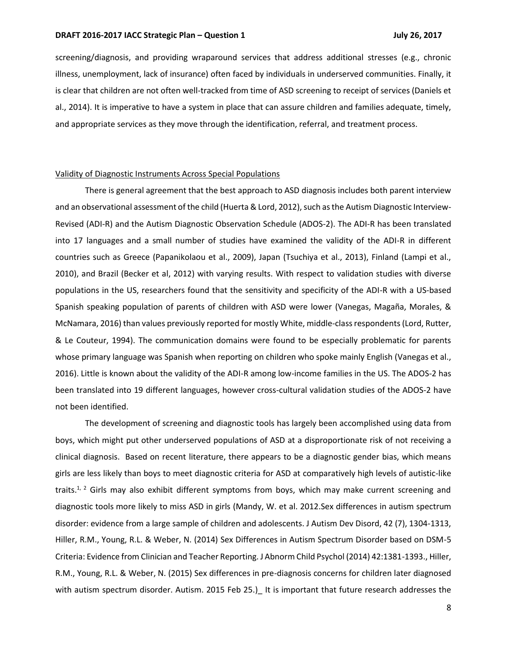screening/diagnosis, and providing wraparound services that address additional stresses (e.g., chronic illness, unemployment, lack of insurance) often faced by individuals in underserved communities. Finally, it is clear that children are not often well-tracked from time of ASD screening to receipt of services (Daniels et al., 2014). It is imperative to have a system in place that can assure children and families adequate, timely, and appropriate services as they move through the identification, referral, and treatment process.

# Validity of Diagnostic Instruments Across Special Populations

There is general agreement that the best approach to ASD diagnosis includes both parent interview and an observational assessment of the child (Huerta & Lord, 2012), such as the Autism Diagnostic Interview-Revised (ADI-R) and the Autism Diagnostic Observation Schedule (ADOS-2). The ADI-R has been translated into 17 languages and a small number of studies have examined the validity of the ADI-R in different countries such as Greece (Papanikolaou et al., 2009), Japan (Tsuchiya et al., 2013), Finland (Lampi et al., 2010), and Brazil (Becker et al, 2012) with varying results. With respect to validation studies with diverse populations in the US, researchers found that the sensitivity and specificity of the ADI-R with a US-based Spanish speaking population of parents of children with ASD were lower (Vanegas, Magaña, Morales, & McNamara, 2016) than values previously reported for mostly White, middle-class respondents (Lord, Rutter, & Le Couteur, 1994). The communication domains were found to be especially problematic for parents whose primary language was Spanish when reporting on children who spoke mainly English (Vanegas et al., 2016). Little is known about the validity of the ADI-R among low-income families in the US. The ADOS-2 has been translated into 19 different languages, however cross-cultural validation studies of the ADOS-2 have not been identified.

The development of screening and diagnostic tools has largely been accomplished using data from boys, which might put other underserved populations of ASD at a disproportionate risk of not receiving a clinical diagnosis. Based on recent literature, there appears to be a diagnostic gender bias, which means girls are less likely than boys to meet diagnostic criteria for ASD at comparatively high levels of autistic-like traits. $1/2$  Girls may also exhibit different symptoms from boys, which may make current screening and diagnostic tools more likely to miss ASD in girls (Mandy, W. et al. 2012.Sex differences in autism spectrum disorder: evidence from a large sample of children and adolescents. J Autism Dev Disord, 42 (7), 1304-1313, Hiller, R.M., Young, R.L. & Weber, N. (2014) Sex Differences in Autism Spectrum Disorder based on DSM-5 Criteria: Evidence from Clinician and Teacher Reporting. J Abnorm Child Psychol (2014) 42:1381-1393., Hiller, R.M., Young, R.L. & Weber, N. (2015) Sex differences in pre-diagnosis concerns for children later diagnosed with autism spectrum disorder. Autism. 2015 Feb 25.) It is important that future research addresses the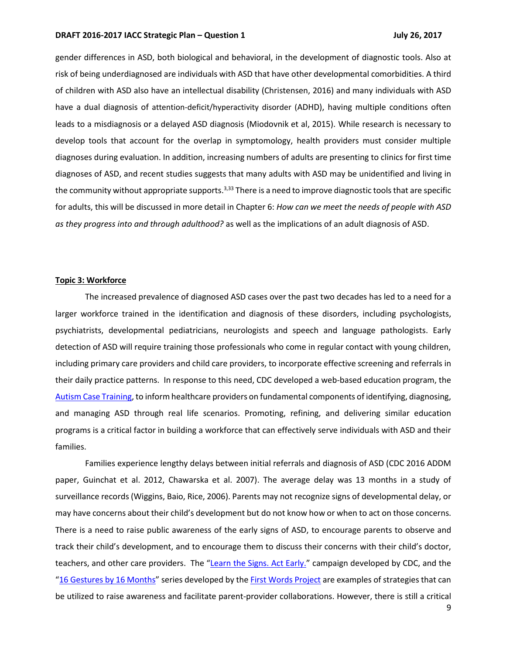gender differences in ASD, both biological and behavioral, in the development of diagnostic tools. Also at risk of being underdiagnosed are individuals with ASD that have other developmental comorbidities. A third of children with ASD also have an intellectual disability (Christensen, 2016) and many individuals with ASD have a dual diagnosis of attention-deficit/hyperactivity disorder (ADHD), having multiple conditions often leads to a misdiagnosis or a delayed ASD diagnosis (Miodovnik et al, 2015). While research is necessary to develop tools that account for the overlap in symptomology, health providers must consider multiple diagnoses during evaluation. In addition, increasing numbers of adults are presenting to clinics for first time diagnoses of ASD, and recent studies suggests that many adults with ASD may be unidentified and living in the community without appropriate supports.<sup>3,33</sup> There is a need to improve diagnostic tools that are specific for adults, this will be discussed in more detail in Chapter 6: *How can we meet the needs of people with ASD as they progress into and through adulthood?* as well as the implications of an adult diagnosis of ASD.

#### **Topic 3: Workforce**

The increased prevalence of diagnosed ASD cases over the past two decades has led to a need for a larger workforce trained in the identification and diagnosis of these disorders, including psychologists, psychiatrists, developmental pediatricians, neurologists and speech and language pathologists. Early detection of ASD will require training those professionals who come in regular contact with young children, including primary care providers and child care providers, to incorporate effective screening and referrals in their daily practice patterns. In response to this need, CDC developed a web-based education program, the [Autism Case Training,](https://www.cdc.gov/ncbddd/actearly/autism/curriculum/class.html) to inform healthcare providers on fundamental components of identifying, diagnosing, and managing ASD through real life scenarios. Promoting, refining, and delivering similar education programs is a critical factor in building a workforce that can effectively serve individuals with ASD and their families.

Families experience lengthy delays between initial referrals and diagnosis of ASD (CDC 2016 ADDM paper, Guinchat et al. 2012, Chawarska et al. 2007). The average delay was 13 months in a study of surveillance records (Wiggins, Baio, Rice, 2006). Parents may not recognize signs of developmental delay, or may have concerns about their child's development but do not know how or when to act on those concerns. There is a need to raise public awareness of the early signs of ASD, to encourage parents to observe and track their child's development, and to encourage them to discuss their concerns with their child's doctor, teachers, and other care providers. The "[Learn the Signs. Act Early.](https://www.cdc.gov/ncbddd/actearly/index.html)" campaign developed by CDC, and the "[16 Gestures by 16 Months](http://firstwordsproject.com/about-16by16/)" series developed by the [First Words Project](http://firstwordsproject.com/) are examples of strategies that can be utilized to raise awareness and facilitate parent-provider collaborations. However, there is still a critical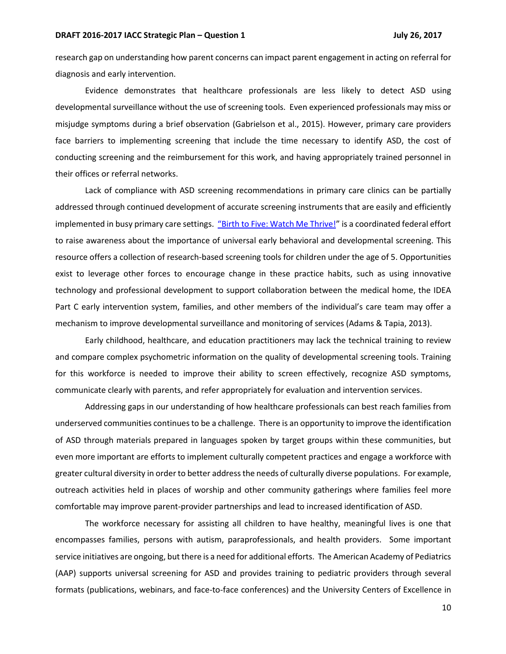research gap on understanding how parent concerns can impact parent engagement in acting on referral for diagnosis and early intervention.

Evidence demonstrates that healthcare professionals are less likely to detect ASD using developmental surveillance without the use of screening tools. Even experienced professionals may miss or misjudge symptoms during a brief observation (Gabrielson et al., 2015). However, primary care providers face barriers to implementing screening that include the time necessary to identify ASD, the cost of conducting screening and the reimbursement for this work, and having appropriately trained personnel in their offices or referral networks.

Lack of compliance with ASD screening recommendations in primary care clinics can be partially addressed through continued development of accurate screening instruments that are easily and efficiently implemented in busy primary care settings. ["Birth to Five: Watch Me Thrive!"](https://www.acf.hhs.gov/ecd/child-health-development/watch-me-thrive) is a coordinated federal effort to raise awareness about the importance of universal early behavioral and developmental screening. This resource offers a collection of research-based screening tools for children under the age of 5. Opportunities exist to leverage other forces to encourage change in these practice habits, such as using innovative technology and professional development to support collaboration between the medical home, the IDEA Part C early intervention system, families, and other members of the individual's care team may offer a mechanism to improve developmental surveillance and monitoring of services (Adams & Tapia, 2013).

Early childhood, healthcare, and education practitioners may lack the technical training to review and compare complex psychometric information on the quality of developmental screening tools. Training for this workforce is needed to improve their ability to screen effectively, recognize ASD symptoms, communicate clearly with parents, and refer appropriately for evaluation and intervention services.

Addressing gaps in our understanding of how healthcare professionals can best reach families from underserved communities continues to be a challenge. There is an opportunity to improve the identification of ASD through materials prepared in languages spoken by target groups within these communities, but even more important are efforts to implement culturally competent practices and engage a workforce with greater cultural diversity in order to better address the needs of culturally diverse populations. For example, outreach activities held in places of worship and other community gatherings where families feel more comfortable may improve parent-provider partnerships and lead to increased identification of ASD.

The workforce necessary for assisting all children to have healthy, meaningful lives is one that encompasses families, persons with autism, paraprofessionals, and health providers. Some important service initiatives are ongoing, but there is a need for additional efforts. The American Academy of Pediatrics (AAP) supports universal screening for ASD and provides training to pediatric providers through several formats (publications, webinars, and face-to-face conferences) and the University Centers of Excellence in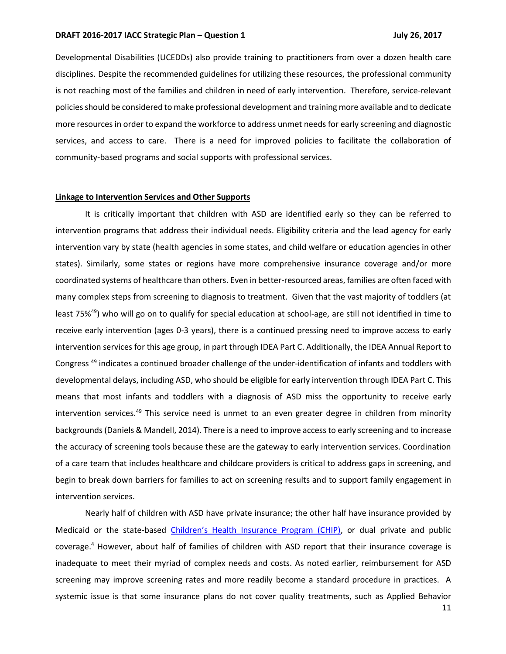Developmental Disabilities (UCEDDs) also provide training to practitioners from over a dozen health care disciplines. Despite the recommended guidelines for utilizing these resources, the professional community is not reaching most of the families and children in need of early intervention. Therefore, service-relevant policies should be considered to make professional development and training more available and to dedicate more resources in order to expand the workforce to address unmet needs for early screening and diagnostic services, and access to care. There is a need for improved policies to facilitate the collaboration of community-based programs and social supports with professional services.

# **Linkage to Intervention Services and Other Supports**

It is critically important that children with ASD are identified early so they can be referred to intervention programs that address their individual needs. Eligibility criteria and the lead agency for early intervention vary by state (health agencies in some states, and child welfare or education agencies in other states). Similarly, some states or regions have more comprehensive insurance coverage and/or more coordinated systems of healthcare than others. Even in better-resourced areas, families are often faced with many complex steps from screening to diagnosis to treatment. Given that the vast majority of toddlers (at least 75%<sup>49</sup>) who will go on to qualify for special education at school-age, are still not identified in time to receive early intervention (ages 0-3 years), there is a continued pressing need to improve access to early intervention services for this age group, in part through IDEA Part C. Additionally, the IDEA Annual Report to Congress<sup>49</sup> indicates a continued broader challenge of the under-identification of infants and toddlers with developmental delays, including ASD, who should be eligible for early intervention through IDEA Part C. This means that most infants and toddlers with a diagnosis of ASD miss the opportunity to receive early intervention services.<sup>49</sup> This service need is unmet to an even greater degree in children from minority backgrounds(Daniels & Mandell, 2014). There is a need to improve access to early screening and to increase the accuracy of screening tools because these are the gateway to early intervention services. Coordination of a care team that includes healthcare and childcare providers is critical to address gaps in screening, and begin to break down barriers for families to act on screening results and to support family engagement in intervention services.

Nearly half of children with ASD have private insurance; the other half have insurance provided by Medicaid or the state-based Children's [Health Insurance Program \(CHIP\),](https://www.medicaid.gov/chip/index.html) or dual private and public coverage.<sup>4</sup> However, about half of families of children with ASD report that their insurance coverage is inadequate to meet their myriad of complex needs and costs. As noted earlier, reimbursement for ASD screening may improve screening rates and more readily become a standard procedure in practices. A systemic issue is that some insurance plans do not cover quality treatments, such as Applied Behavior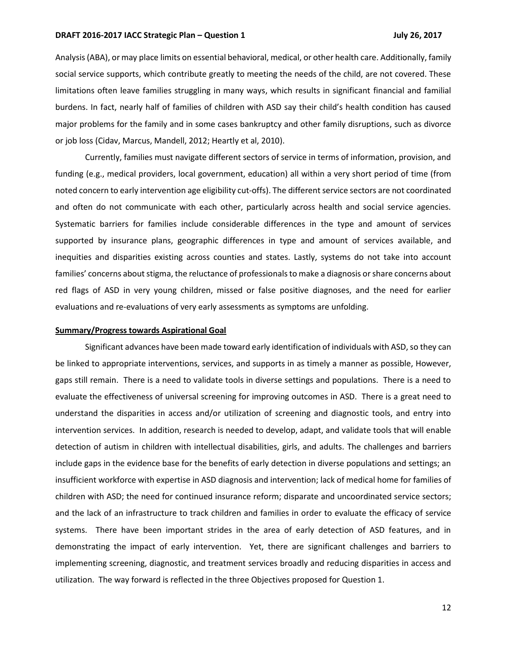Analysis(ABA), or may place limits on essential behavioral, medical, or other health care. Additionally, family social service supports, which contribute greatly to meeting the needs of the child, are not covered. These limitations often leave families struggling in many ways, which results in significant financial and familial burdens. In fact, nearly half of families of children with ASD say their child's health condition has caused major problems for the family and in some cases bankruptcy and other family disruptions, such as divorce or job loss (Cidav, Marcus, Mandell, 2012; Heartly et al, 2010).

Currently, families must navigate different sectors of service in terms of information, provision, and funding (e.g., medical providers, local government, education) all within a very short period of time (from noted concern to early intervention age eligibility cut-offs). The different service sectors are not coordinated and often do not communicate with each other, particularly across health and social service agencies. Systematic barriers for families include considerable differences in the type and amount of services supported by insurance plans, geographic differences in type and amount of services available, and inequities and disparities existing across counties and states. Lastly, systems do not take into account families' concerns about stigma, the reluctance of professionals to make a diagnosis or share concerns about red flags of ASD in very young children, missed or false positive diagnoses, and the need for earlier evaluations and re-evaluations of very early assessments as symptoms are unfolding.

#### **Summary/Progress towards Aspirational Goal**

Significant advances have been made toward early identification of individuals with ASD, so they can be linked to appropriate interventions, services, and supports in as timely a manner as possible, However, gaps still remain. There is a need to validate tools in diverse settings and populations. There is a need to evaluate the effectiveness of universal screening for improving outcomes in ASD. There is a great need to understand the disparities in access and/or utilization of screening and diagnostic tools, and entry into intervention services. In addition, research is needed to develop, adapt, and validate tools that will enable detection of autism in children with intellectual disabilities, girls, and adults. The challenges and barriers include gaps in the evidence base for the benefits of early detection in diverse populations and settings; an insufficient workforce with expertise in ASD diagnosis and intervention; lack of medical home for families of children with ASD; the need for continued insurance reform; disparate and uncoordinated service sectors; and the lack of an infrastructure to track children and families in order to evaluate the efficacy of service systems. There have been important strides in the area of early detection of ASD features, and in demonstrating the impact of early intervention. Yet, there are significant challenges and barriers to implementing screening, diagnostic, and treatment services broadly and reducing disparities in access and utilization. The way forward is reflected in the three Objectives proposed for Question 1.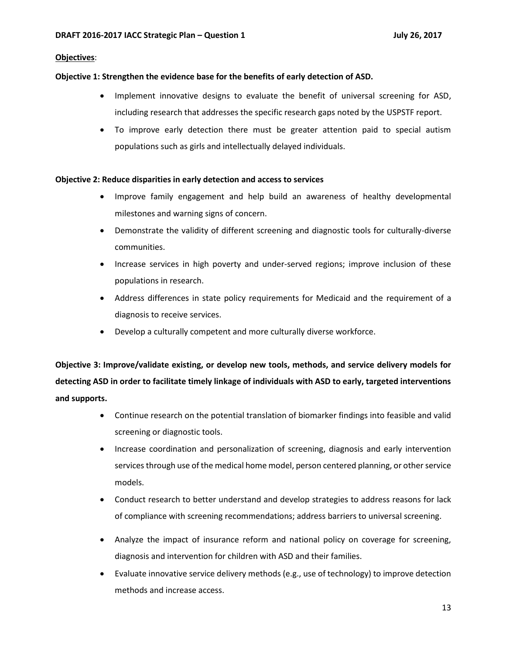# **Objectives**:

# **Objective 1: Strengthen the evidence base for the benefits of early detection of ASD.**

- Implement innovative designs to evaluate the benefit of universal screening for ASD, including research that addresses the specific research gaps noted by the USPSTF report.
- To improve early detection there must be greater attention paid to special autism populations such as girls and intellectually delayed individuals.

# **Objective 2: Reduce disparities in early detection and access to services**

- Improve family engagement and help build an awareness of healthy developmental milestones and warning signs of concern.
- Demonstrate the validity of different screening and diagnostic tools for culturally-diverse communities.
- Increase services in high poverty and under-served regions; improve inclusion of these populations in research.
- Address differences in state policy requirements for Medicaid and the requirement of a diagnosis to receive services.
- Develop a culturally competent and more culturally diverse workforce.

**Objective 3: Improve/validate existing, or develop new tools, methods, and service delivery models for detecting ASD in order to facilitate timely linkage of individuals with ASD to early, targeted interventions and supports.** 

- Continue research on the potential translation of biomarker findings into feasible and valid screening or diagnostic tools.
- Increase coordination and personalization of screening, diagnosis and early intervention services through use of the medical home model, person centered planning, or other service models.
- Conduct research to better understand and develop strategies to address reasons for lack of compliance with screening recommendations; address barriers to universal screening.
- Analyze the impact of insurance reform and national policy on coverage for screening, diagnosis and intervention for children with ASD and their families.
- Evaluate innovative service delivery methods (e.g., use of technology) to improve detection methods and increase access.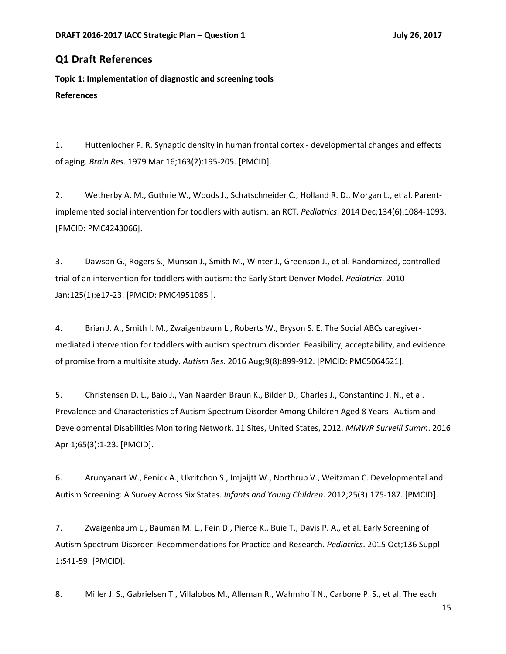# **Q1 Draft References**

**Topic 1: Implementation of diagnostic and screening tools References**

1. Huttenlocher P. R. Synaptic density in human frontal cortex - developmental changes and effects of aging. *Brain Res*. 1979 Mar 16;163(2):195-205. [PMCID].

2. Wetherby A. M., Guthrie W., Woods J., Schatschneider C., Holland R. D., Morgan L., et al. Parentimplemented social intervention for toddlers with autism: an RCT. *Pediatrics*. 2014 Dec;134(6):1084-1093. [PMCID: PMC4243066].

3. Dawson G., Rogers S., Munson J., Smith M., Winter J., Greenson J., et al. Randomized, controlled trial of an intervention for toddlers with autism: the Early Start Denver Model. *Pediatrics*. 2010 Jan;125(1):e17-23. [PMCID: PMC4951085 ].

4. Brian J. A., Smith I. M., Zwaigenbaum L., Roberts W., Bryson S. E. The Social ABCs caregivermediated intervention for toddlers with autism spectrum disorder: Feasibility, acceptability, and evidence of promise from a multisite study. *Autism Res*. 2016 Aug;9(8):899-912. [PMCID: PMC5064621].

5. Christensen D. L., Baio J., Van Naarden Braun K., Bilder D., Charles J., Constantino J. N., et al. Prevalence and Characteristics of Autism Spectrum Disorder Among Children Aged 8 Years--Autism and Developmental Disabilities Monitoring Network, 11 Sites, United States, 2012. *MMWR Surveill Summ*. 2016 Apr 1;65(3):1-23. [PMCID].

6. Arunyanart W., Fenick A., Ukritchon S., Imjaijtt W., Northrup V., Weitzman C. Developmental and Autism Screening: A Survey Across Six States. *Infants and Young Children*. 2012;25(3):175-187. [PMCID].

7. Zwaigenbaum L., Bauman M. L., Fein D., Pierce K., Buie T., Davis P. A., et al. Early Screening of Autism Spectrum Disorder: Recommendations for Practice and Research. *Pediatrics*. 2015 Oct;136 Suppl 1:S41-59. [PMCID].

8. Miller J. S., Gabrielsen T., Villalobos M., Alleman R., Wahmhoff N., Carbone P. S., et al. The each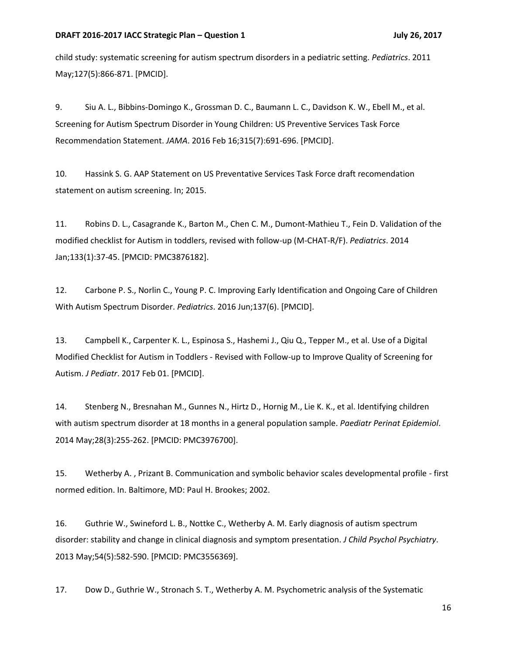child study: systematic screening for autism spectrum disorders in a pediatric setting. *Pediatrics*. 2011 May;127(5):866-871. [PMCID].

9. Siu A. L., Bibbins-Domingo K., Grossman D. C., Baumann L. C., Davidson K. W., Ebell M., et al. Screening for Autism Spectrum Disorder in Young Children: US Preventive Services Task Force Recommendation Statement. *JAMA*. 2016 Feb 16;315(7):691-696. [PMCID].

10. Hassink S. G. AAP Statement on US Preventative Services Task Force draft recomendation statement on autism screening. In; 2015.

11. Robins D. L., Casagrande K., Barton M., Chen C. M., Dumont-Mathieu T., Fein D. Validation of the modified checklist for Autism in toddlers, revised with follow-up (M-CHAT-R/F). *Pediatrics*. 2014 Jan;133(1):37-45. [PMCID: PMC3876182].

12. Carbone P. S., Norlin C., Young P. C. Improving Early Identification and Ongoing Care of Children With Autism Spectrum Disorder. *Pediatrics*. 2016 Jun;137(6). [PMCID].

13. Campbell K., Carpenter K. L., Espinosa S., Hashemi J., Qiu Q., Tepper M., et al. Use of a Digital Modified Checklist for Autism in Toddlers - Revised with Follow-up to Improve Quality of Screening for Autism. *J Pediatr*. 2017 Feb 01. [PMCID].

14. Stenberg N., Bresnahan M., Gunnes N., Hirtz D., Hornig M., Lie K. K., et al. Identifying children with autism spectrum disorder at 18 months in a general population sample. *Paediatr Perinat Epidemiol*. 2014 May;28(3):255-262. [PMCID: PMC3976700].

15. Wetherby A. , Prizant B. Communication and symbolic behavior scales developmental profile - first normed edition. In. Baltimore, MD: Paul H. Brookes; 2002.

16. Guthrie W., Swineford L. B., Nottke C., Wetherby A. M. Early diagnosis of autism spectrum disorder: stability and change in clinical diagnosis and symptom presentation. *J Child Psychol Psychiatry*. 2013 May;54(5):582-590. [PMCID: PMC3556369].

17. Dow D., Guthrie W., Stronach S. T., Wetherby A. M. Psychometric analysis of the Systematic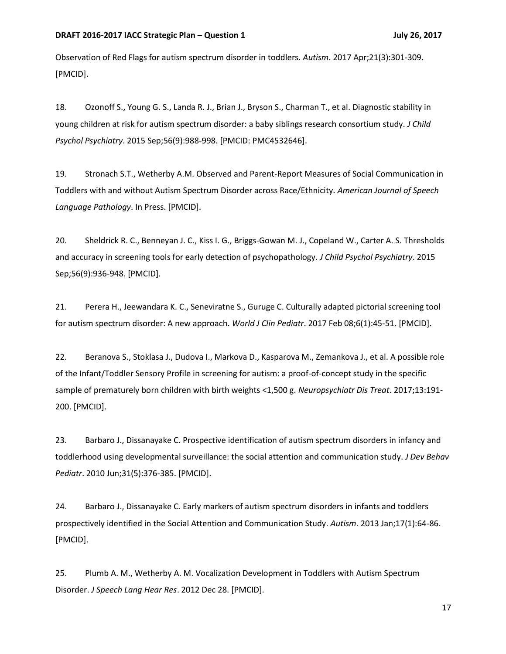Observation of Red Flags for autism spectrum disorder in toddlers. *Autism*. 2017 Apr;21(3):301-309. [PMCID].

18. Ozonoff S., Young G. S., Landa R. J., Brian J., Bryson S., Charman T., et al. Diagnostic stability in young children at risk for autism spectrum disorder: a baby siblings research consortium study. *J Child Psychol Psychiatry*. 2015 Sep;56(9):988-998. [PMCID: PMC4532646].

19. Stronach S.T., Wetherby A.M. Observed and Parent-Report Measures of Social Communication in Toddlers with and without Autism Spectrum Disorder across Race/Ethnicity. *American Journal of Speech Language Pathology*. In Press. [PMCID].

20. Sheldrick R. C., Benneyan J. C., Kiss I. G., Briggs-Gowan M. J., Copeland W., Carter A. S. Thresholds and accuracy in screening tools for early detection of psychopathology. *J Child Psychol Psychiatry*. 2015 Sep;56(9):936-948. [PMCID].

21. Perera H., Jeewandara K. C., Seneviratne S., Guruge C. Culturally adapted pictorial screening tool for autism spectrum disorder: A new approach. *World J Clin Pediatr*. 2017 Feb 08;6(1):45-51. [PMCID].

22. Beranova S., Stoklasa J., Dudova I., Markova D., Kasparova M., Zemankova J., et al. A possible role of the Infant/Toddler Sensory Profile in screening for autism: a proof-of-concept study in the specific sample of prematurely born children with birth weights <1,500 g. *Neuropsychiatr Dis Treat*. 2017;13:191- 200. [PMCID].

23. Barbaro J., Dissanayake C. Prospective identification of autism spectrum disorders in infancy and toddlerhood using developmental surveillance: the social attention and communication study. *J Dev Behav Pediatr*. 2010 Jun;31(5):376-385. [PMCID].

24. Barbaro J., Dissanayake C. Early markers of autism spectrum disorders in infants and toddlers prospectively identified in the Social Attention and Communication Study. *Autism*. 2013 Jan;17(1):64-86. [PMCID].

25. Plumb A. M., Wetherby A. M. Vocalization Development in Toddlers with Autism Spectrum Disorder. *J Speech Lang Hear Res*. 2012 Dec 28. [PMCID].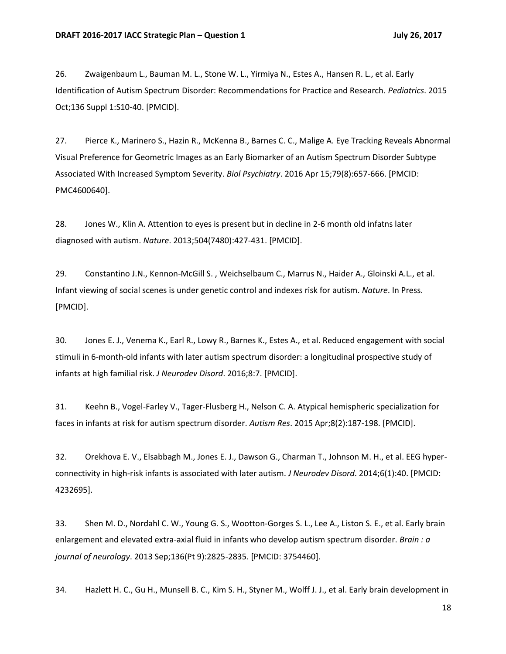26. Zwaigenbaum L., Bauman M. L., Stone W. L., Yirmiya N., Estes A., Hansen R. L., et al. Early Identification of Autism Spectrum Disorder: Recommendations for Practice and Research. *Pediatrics*. 2015 Oct;136 Suppl 1:S10-40. [PMCID].

27. Pierce K., Marinero S., Hazin R., McKenna B., Barnes C. C., Malige A. Eye Tracking Reveals Abnormal Visual Preference for Geometric Images as an Early Biomarker of an Autism Spectrum Disorder Subtype Associated With Increased Symptom Severity. *Biol Psychiatry*. 2016 Apr 15;79(8):657-666. [PMCID: PMC4600640].

28. Jones W., Klin A. Attention to eyes is present but in decline in 2-6 month old infatns later diagnosed with autism. *Nature*. 2013;504(7480):427-431. [PMCID].

29. Constantino J.N., Kennon-McGill S. , Weichselbaum C., Marrus N., Haider A., Gloinski A.L., et al. Infant viewing of social scenes is under genetic control and indexes risk for autism. *Nature*. In Press. [PMCID].

30. Jones E. J., Venema K., Earl R., Lowy R., Barnes K., Estes A., et al. Reduced engagement with social stimuli in 6-month-old infants with later autism spectrum disorder: a longitudinal prospective study of infants at high familial risk. *J Neurodev Disord*. 2016;8:7. [PMCID].

31. Keehn B., Vogel-Farley V., Tager-Flusberg H., Nelson C. A. Atypical hemispheric specialization for faces in infants at risk for autism spectrum disorder. *Autism Res*. 2015 Apr;8(2):187-198. [PMCID].

32. Orekhova E. V., Elsabbagh M., Jones E. J., Dawson G., Charman T., Johnson M. H., et al. EEG hyperconnectivity in high-risk infants is associated with later autism. *J Neurodev Disord*. 2014;6(1):40. [PMCID: 4232695].

33. Shen M. D., Nordahl C. W., Young G. S., Wootton-Gorges S. L., Lee A., Liston S. E., et al. Early brain enlargement and elevated extra-axial fluid in infants who develop autism spectrum disorder. *Brain : a journal of neurology*. 2013 Sep;136(Pt 9):2825-2835. [PMCID: 3754460].

34. Hazlett H. C., Gu H., Munsell B. C., Kim S. H., Styner M., Wolff J. J., et al. Early brain development in

18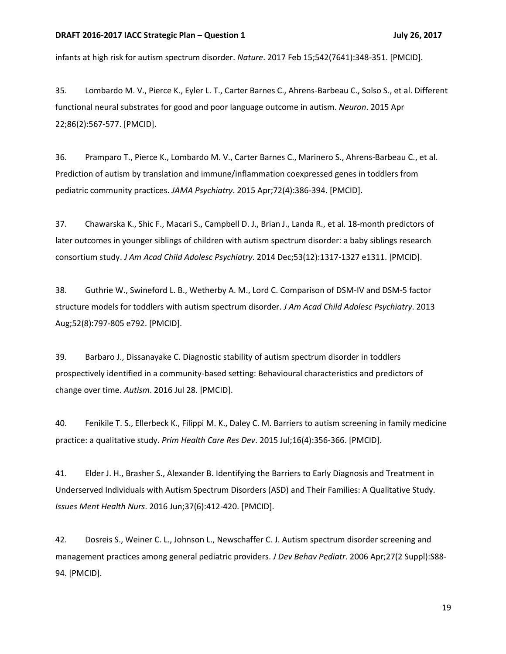infants at high risk for autism spectrum disorder. *Nature*. 2017 Feb 15;542(7641):348-351. [PMCID].

35. Lombardo M. V., Pierce K., Eyler L. T., Carter Barnes C., Ahrens-Barbeau C., Solso S., et al. Different functional neural substrates for good and poor language outcome in autism. *Neuron*. 2015 Apr 22;86(2):567-577. [PMCID].

36. Pramparo T., Pierce K., Lombardo M. V., Carter Barnes C., Marinero S., Ahrens-Barbeau C., et al. Prediction of autism by translation and immune/inflammation coexpressed genes in toddlers from pediatric community practices. *JAMA Psychiatry*. 2015 Apr;72(4):386-394. [PMCID].

37. Chawarska K., Shic F., Macari S., Campbell D. J., Brian J., Landa R., et al. 18-month predictors of later outcomes in younger siblings of children with autism spectrum disorder: a baby siblings research consortium study. *J Am Acad Child Adolesc Psychiatry*. 2014 Dec;53(12):1317-1327 e1311. [PMCID].

38. Guthrie W., Swineford L. B., Wetherby A. M., Lord C. Comparison of DSM-IV and DSM-5 factor structure models for toddlers with autism spectrum disorder. *J Am Acad Child Adolesc Psychiatry*. 2013 Aug;52(8):797-805 e792. [PMCID].

39. Barbaro J., Dissanayake C. Diagnostic stability of autism spectrum disorder in toddlers prospectively identified in a community-based setting: Behavioural characteristics and predictors of change over time. *Autism*. 2016 Jul 28. [PMCID].

40. Fenikile T. S., Ellerbeck K., Filippi M. K., Daley C. M. Barriers to autism screening in family medicine practice: a qualitative study. *Prim Health Care Res Dev*. 2015 Jul;16(4):356-366. [PMCID].

41. Elder J. H., Brasher S., Alexander B. Identifying the Barriers to Early Diagnosis and Treatment in Underserved Individuals with Autism Spectrum Disorders (ASD) and Their Families: A Qualitative Study. *Issues Ment Health Nurs*. 2016 Jun;37(6):412-420. [PMCID].

42. Dosreis S., Weiner C. L., Johnson L., Newschaffer C. J. Autism spectrum disorder screening and management practices among general pediatric providers. *J Dev Behav Pediatr*. 2006 Apr;27(2 Suppl):S88- 94. [PMCID].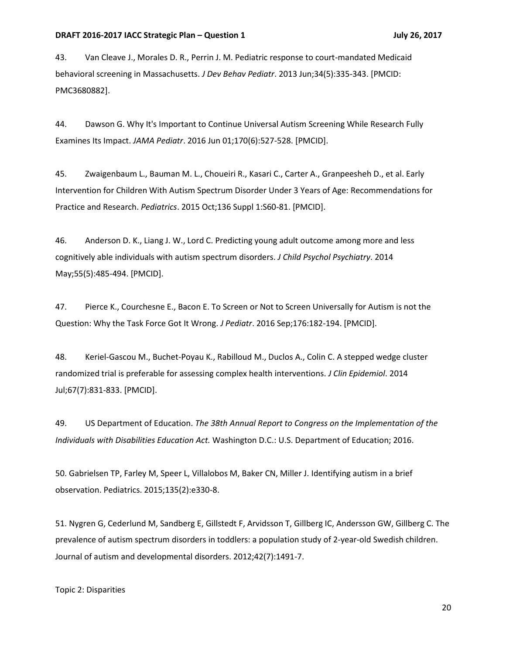43. Van Cleave J., Morales D. R., Perrin J. M. Pediatric response to court-mandated Medicaid behavioral screening in Massachusetts. *J Dev Behav Pediatr*. 2013 Jun;34(5):335-343. [PMCID: PMC3680882].

44. Dawson G. Why It's Important to Continue Universal Autism Screening While Research Fully Examines Its Impact. *JAMA Pediatr*. 2016 Jun 01;170(6):527-528. [PMCID].

45. Zwaigenbaum L., Bauman M. L., Choueiri R., Kasari C., Carter A., Granpeesheh D., et al. Early Intervention for Children With Autism Spectrum Disorder Under 3 Years of Age: Recommendations for Practice and Research. *Pediatrics*. 2015 Oct;136 Suppl 1:S60-81. [PMCID].

46. Anderson D. K., Liang J. W., Lord C. Predicting young adult outcome among more and less cognitively able individuals with autism spectrum disorders. *J Child Psychol Psychiatry*. 2014 May;55(5):485-494. [PMCID].

47. Pierce K., Courchesne E., Bacon E. To Screen or Not to Screen Universally for Autism is not the Question: Why the Task Force Got It Wrong. *J Pediatr*. 2016 Sep;176:182-194. [PMCID].

48. Keriel-Gascou M., Buchet-Poyau K., Rabilloud M., Duclos A., Colin C. A stepped wedge cluster randomized trial is preferable for assessing complex health interventions. *J Clin Epidemiol*. 2014 Jul;67(7):831-833. [PMCID].

49. US Department of Education. *The 38th Annual Report to Congress on the Implementation of the Individuals with Disabilities Education Act.* Washington D.C.: U.S. Department of Education; 2016.

50. Gabrielsen TP, Farley M, Speer L, Villalobos M, Baker CN, Miller J. Identifying autism in a brief observation. Pediatrics. 2015;135(2):e330-8.

51. Nygren G, Cederlund M, Sandberg E, Gillstedt F, Arvidsson T, Gillberg IC, Andersson GW, Gillberg C. The prevalence of autism spectrum disorders in toddlers: a population study of 2-year-old Swedish children. Journal of autism and developmental disorders. 2012;42(7):1491-7.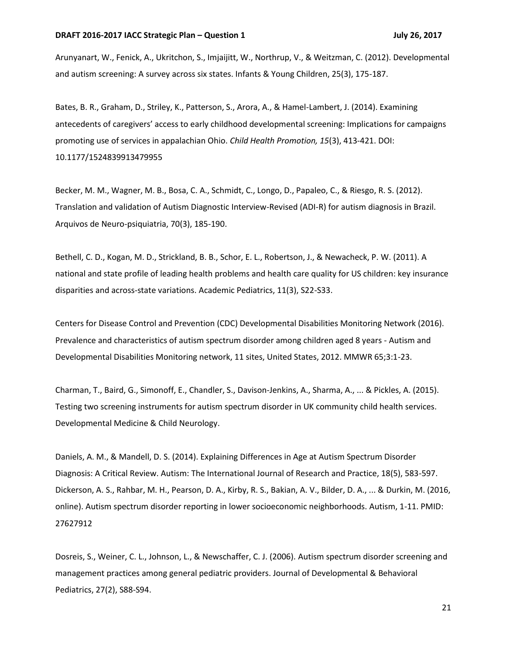Arunyanart, W., Fenick, A., Ukritchon, S., Imjaijitt, W., Northrup, V., & Weitzman, C. (2012). Developmental and autism screening: A survey across six states. Infants & Young Children, 25(3), 175-187.

Bates, B. R., Graham, D., Striley, K., Patterson, S., Arora, A., & Hamel-Lambert, J. (2014). Examining antecedents of caregivers' access to early childhood developmental screening: Implications for campaigns promoting use of services in appalachian Ohio. *Child Health Promotion, 15*(3), 413-421. DOI: 10.1177/1524839913479955

Becker, M. M., Wagner, M. B., Bosa, C. A., Schmidt, C., Longo, D., Papaleo, C., & Riesgo, R. S. (2012). Translation and validation of Autism Diagnostic Interview-Revised (ADI-R) for autism diagnosis in Brazil. Arquivos de Neuro-psiquiatria, 70(3), 185-190.

Bethell, C. D., Kogan, M. D., Strickland, B. B., Schor, E. L., Robertson, J., & Newacheck, P. W. (2011). A national and state profile of leading health problems and health care quality for US children: key insurance disparities and across-state variations. Academic Pediatrics, 11(3), S22-S33.

Centers for Disease Control and Prevention (CDC) Developmental Disabilities Monitoring Network (2016). Prevalence and characteristics of autism spectrum disorder among children aged 8 years - Autism and Developmental Disabilities Monitoring network, 11 sites, United States, 2012. MMWR 65;3:1-23.

Charman, T., Baird, G., Simonoff, E., Chandler, S., Davison‐Jenkins, A., Sharma, A., ... & Pickles, A. (2015). Testing two screening instruments for autism spectrum disorder in UK community child health services. Developmental Medicine & Child Neurology.

Daniels, A. M., & Mandell, D. S. (2014). Explaining Differences in Age at Autism Spectrum Disorder Diagnosis: A Critical Review. Autism: The International Journal of Research and Practice, 18(5), 583-597. Dickerson, A. S., Rahbar, M. H., Pearson, D. A., Kirby, R. S., Bakian, A. V., Bilder, D. A., ... & Durkin, M. (2016, online). Autism spectrum disorder reporting in lower socioeconomic neighborhoods. Autism, 1-11. PMID: 27627912

Dosreis, S., Weiner, C. L., Johnson, L., & Newschaffer, C. J. (2006). Autism spectrum disorder screening and management practices among general pediatric providers. Journal of Developmental & Behavioral Pediatrics, 27(2), S88-S94.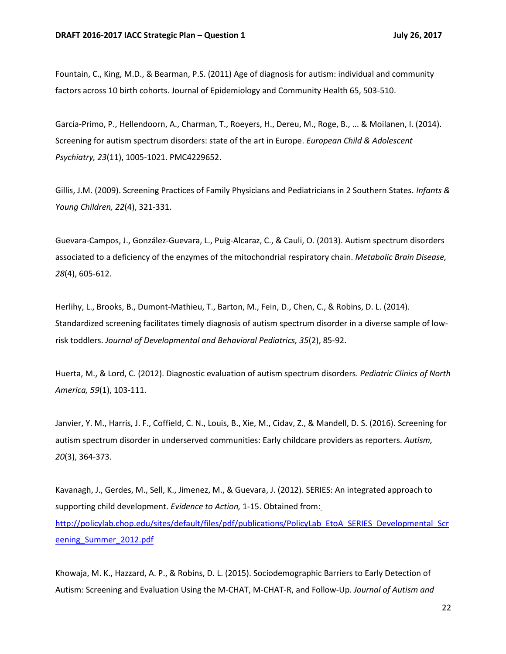Fountain, C., King, M.D., & Bearman, P.S. (2011) Age of diagnosis for autism: individual and community factors across 10 birth cohorts. Journal of Epidemiology and Community Health 65, 503-510.

García-Primo, P., Hellendoorn, A., Charman, T., Roeyers, H., Dereu, M., Roge, B., ... & Moilanen, I. (2014). Screening for autism spectrum disorders: state of the art in Europe. *European Child & Adolescent Psychiatry, 23*(11), 1005-1021. PMC4229652.

Gillis, J.M. (2009). Screening Practices of Family Physicians and Pediatricians in 2 Southern States. *Infants & Young Children, 22*(4), 321-331.

Guevara-Campos, J., González-Guevara, L., Puig-Alcaraz, C., & Cauli, O. (2013). Autism spectrum disorders associated to a deficiency of the enzymes of the mitochondrial respiratory chain. *Metabolic Brain Disease, 28*(4), 605-612.

Herlihy, L., Brooks, B., Dumont-Mathieu, T., Barton, M., Fein, D., Chen, C., & Robins, D. L. (2014). Standardized screening facilitates timely diagnosis of autism spectrum disorder in a diverse sample of lowrisk toddlers. *Journal of Developmental and Behavioral Pediatrics, 35*(2), 85-92.

Huerta, M., & Lord, C. (2012). Diagnostic evaluation of autism spectrum disorders. *Pediatric Clinics of North America, 59*(1), 103-111.

Janvier, Y. M., Harris, J. F., Coffield, C. N., Louis, B., Xie, M., Cidav, Z., & Mandell, D. S. (2016). Screening for autism spectrum disorder in underserved communities: Early childcare providers as reporters. *Autism, 20*(3), 364-373.

Kavanagh, J., Gerdes, M., Sell, K., Jimenez, M., & Guevara, J. (2012). SERIES: An integrated approach to supporting child development. *Evidence to Action,* 1-15. Obtained from[:](http://policylab.chop.edu/sites/default/files/pdf/publications/PolicyLab_EtoA_SERIES_Developmental_Screening_Summer_2012.pdf) [http://policylab.chop.edu/sites/default/files/pdf/publications/PolicyLab\\_EtoA\\_SERIES\\_Developmental\\_Scr](http://policylab.chop.edu/sites/default/files/pdf/publications/PolicyLab_EtoA_SERIES_Developmental_Screening_Summer_2012.pdf) [eening\\_Summer\\_2012.pdf](http://policylab.chop.edu/sites/default/files/pdf/publications/PolicyLab_EtoA_SERIES_Developmental_Screening_Summer_2012.pdf)

Khowaja, M. K., Hazzard, A. P., & Robins, D. L. (2015). Sociodemographic Barriers to Early Detection of Autism: Screening and Evaluation Using the M-CHAT, M-CHAT-R, and Follow-Up. *Journal of Autism and*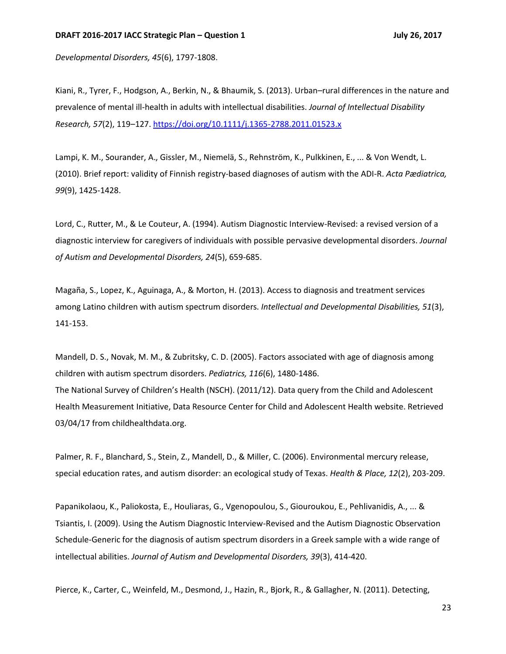*Developmental Disorders, 45*(6), 1797-1808.

Kiani, R., Tyrer, F., Hodgson, A., Berkin, N., & Bhaumik, S. (2013). Urban–rural differences in the nature and prevalence of mental ill-health in adults with intellectual disabilities. *Journal of Intellectual Disability Research, 57*(2), 119–127. <https://doi.org/10.1111/j.1365-2788.2011.01523.x>

Lampi, K. M., Sourander, A., Gissler, M., Niemelä, S., Rehnström, K., Pulkkinen, E., ... & Von Wendt, L. (2010). Brief report: validity of Finnish registry‐based diagnoses of autism with the ADI‐R. *Acta Pædiatrica, 99*(9), 1425-1428.

Lord, C., Rutter, M., & Le Couteur, A. (1994). Autism Diagnostic Interview-Revised: a revised version of a diagnostic interview for caregivers of individuals with possible pervasive developmental disorders. *Journal of Autism and Developmental Disorders, 24*(5), 659-685.

Magaña, S., Lopez, K., Aguinaga, A., & Morton, H. (2013). Access to diagnosis and treatment services among Latino children with autism spectrum disorders. *Intellectual and Developmental Disabilities, 51*(3), 141-153.

Mandell, D. S., Novak, M. M., & Zubritsky, C. D. (2005). Factors associated with age of diagnosis among children with autism spectrum disorders. *Pediatrics, 116*(6), 1480-1486. The National Survey of Children's Health (NSCH). (2011/12). Data query from the Child and Adolescent Health Measurement Initiative, Data Resource Center for Child and Adolescent Health website. Retrieved 03/04/17 from childhealthdata.org.

Palmer, R. F., Blanchard, S., Stein, Z., Mandell, D., & Miller, C. (2006). Environmental mercury release, special education rates, and autism disorder: an ecological study of Texas. *Health & Place, 12*(2), 203-209.

Papanikolaou, K., Paliokosta, E., Houliaras, G., Vgenopoulou, S., Giouroukou, E., Pehlivanidis, A., ... & Tsiantis, I. (2009). Using the Autism Diagnostic Interview-Revised and the Autism Diagnostic Observation Schedule-Generic for the diagnosis of autism spectrum disorders in a Greek sample with a wide range of intellectual abilities. *Journal of Autism and Developmental Disorders, 39*(3), 414-420.

Pierce, K., Carter, C., Weinfeld, M., Desmond, J., Hazin, R., Bjork, R., & Gallagher, N. (2011). Detecting,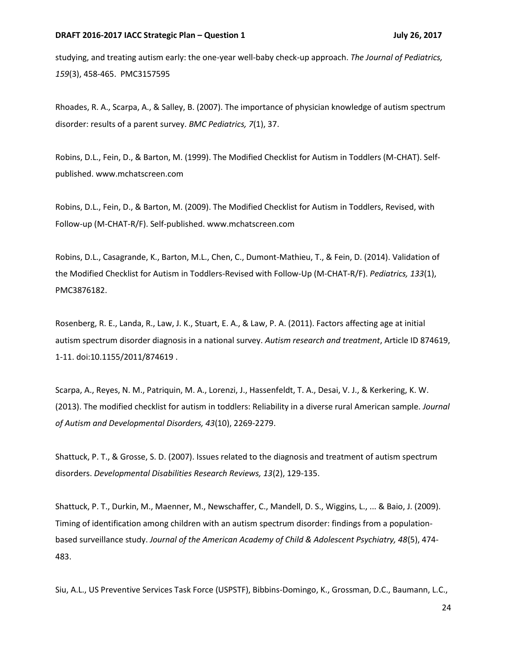studying, and treating autism early: the one-year well-baby check-up approach. *The Journal of Pediatrics, 159*(3), 458-465. PMC3157595

Rhoades, R. A., Scarpa, A., & Salley, B. (2007). The importance of physician knowledge of autism spectrum disorder: results of a parent survey. *BMC Pediatrics, 7*(1), 37.

Robins, D.L., Fein, D., & Barton, M. (1999). The Modified Checklist for Autism in Toddlers (M-CHAT). Selfpublished. www.mchatscreen.com

Robins, D.L., Fein, D., & Barton, M. (2009). The Modified Checklist for Autism in Toddlers, Revised, with Follow-up (M-CHAT-R/F). Self-published. www.mchatscreen.com

Robins, D.L., Casagrande, K., Barton, M.L., Chen, C., Dumont-Mathieu, T., & Fein, D. (2014). Validation of the Modified Checklist for Autism in Toddlers-Revised with Follow-Up (M-CHAT-R/F). *Pediatrics, 133*(1), PMC3876182.

Rosenberg, R. E., Landa, R., Law, J. K., Stuart, E. A., & Law, P. A. (2011). Factors affecting age at initial autism spectrum disorder diagnosis in a national survey. *Autism research and treatment*, Article ID 874619, 1-11. doi:10.1155/2011/874619 .

Scarpa, A., Reyes, N. M., Patriquin, M. A., Lorenzi, J., Hassenfeldt, T. A., Desai, V. J., & Kerkering, K. W. (2013). The modified checklist for autism in toddlers: Reliability in a diverse rural American sample. *Journal of Autism and Developmental Disorders, 43*(10), 2269-2279.

Shattuck, P. T., & Grosse, S. D. (2007). Issues related to the diagnosis and treatment of autism spectrum disorders. *Developmental Disabilities Research Reviews, 13*(2), 129-135.

Shattuck, P. T., Durkin, M., Maenner, M., Newschaffer, C., Mandell, D. S., Wiggins, L., ... & Baio, J. (2009). Timing of identification among children with an autism spectrum disorder: findings from a populationbased surveillance study. *Journal of the American Academy of Child & Adolescent Psychiatry, 48*(5), 474- 483.

Siu, A.L., US Preventive Services Task Force (USPSTF), Bibbins-Domingo, K., Grossman, D.C., Baumann, L.C.,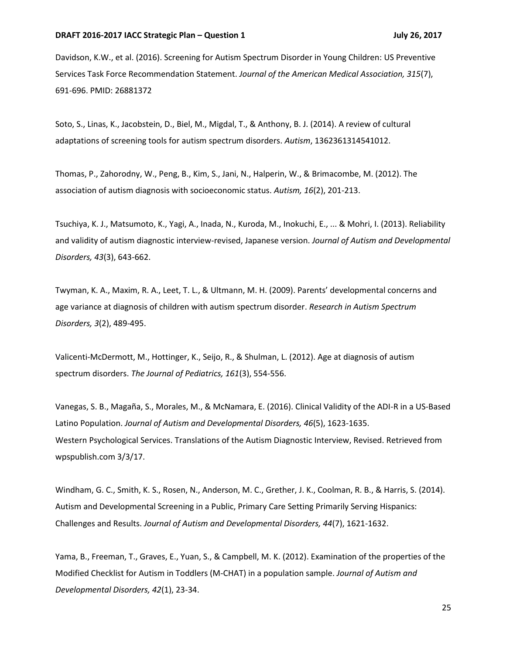Davidson, K.W., et al. (2016). Screening for Autism Spectrum Disorder in Young Children: US Preventive Services Task Force Recommendation Statement. *Journal of the American Medical Association, 315*(7), 691-696. PMID: 26881372

Soto, S., Linas, K., Jacobstein, D., Biel, M., Migdal, T., & Anthony, B. J. (2014). A review of cultural adaptations of screening tools for autism spectrum disorders. *Autism*, 1362361314541012.

Thomas, P., Zahorodny, W., Peng, B., Kim, S., Jani, N., Halperin, W., & Brimacombe, M. (2012). The association of autism diagnosis with socioeconomic status. *Autism, 16*(2), 201-213.

Tsuchiya, K. J., Matsumoto, K., Yagi, A., Inada, N., Kuroda, M., Inokuchi, E., ... & Mohri, I. (2013). Reliability and validity of autism diagnostic interview-revised, Japanese version. *Journal of Autism and Developmental Disorders, 43*(3), 643-662.

Twyman, K. A., Maxim, R. A., Leet, T. L., & Ultmann, M. H. (2009). Parents' developmental concerns and age variance at diagnosis of children with autism spectrum disorder. *Research in Autism Spectrum Disorders, 3*(2), 489-495.

Valicenti-McDermott, M., Hottinger, K., Seijo, R., & Shulman, L. (2012). Age at diagnosis of autism spectrum disorders. *The Journal of Pediatrics, 161*(3), 554-556.

Vanegas, S. B., Magaña, S., Morales, M., & McNamara, E. (2016). Clinical Validity of the ADI-R in a US-Based Latino Population. *Journal of Autism and Developmental Disorders, 46*(5), 1623-1635. Western Psychological Services. Translations of the Autism Diagnostic Interview, Revised. Retrieved from wpspublish.com 3/3/17.

Windham, G. C., Smith, K. S., Rosen, N., Anderson, M. C., Grether, J. K., Coolman, R. B., & Harris, S. (2014). Autism and Developmental Screening in a Public, Primary Care Setting Primarily Serving Hispanics: Challenges and Results. *Journal of Autism and Developmental Disorders, 44*(7), 1621-1632.

Yama, B., Freeman, T., Graves, E., Yuan, S., & Campbell, M. K. (2012). Examination of the properties of the Modified Checklist for Autism in Toddlers (M-CHAT) in a population sample. *Journal of Autism and Developmental Disorders, 42*(1), 23-34.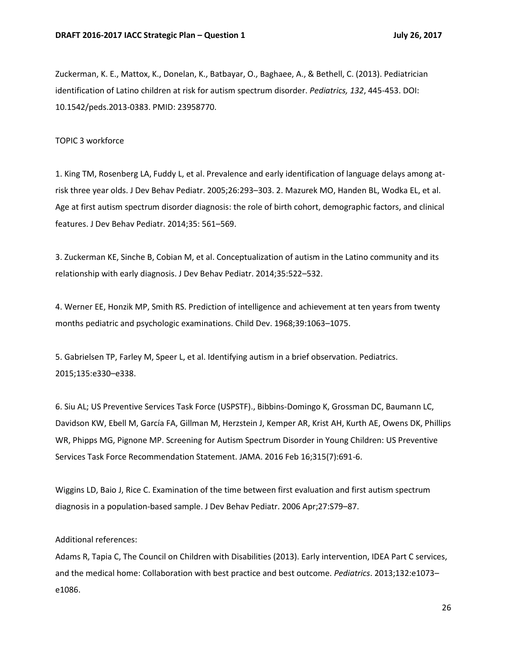Zuckerman, K. E., Mattox, K., Donelan, K., Batbayar, O., Baghaee, A., & Bethell, C. (2013). Pediatrician identification of Latino children at risk for autism spectrum disorder. *Pediatrics, 132*, 445-453. DOI: 10.1542/peds.2013-0383. PMID: 23958770.

TOPIC 3 workforce

1. King TM, Rosenberg LA, Fuddy L, et al. Prevalence and early identification of language delays among atrisk three year olds. J Dev Behav Pediatr. 2005;26:293–303. 2. Mazurek MO, Handen BL, Wodka EL, et al. Age at first autism spectrum disorder diagnosis: the role of birth cohort, demographic factors, and clinical features. J Dev Behav Pediatr. 2014;35: 561–569.

3. Zuckerman KE, Sinche B, Cobian M, et al. Conceptualization of autism in the Latino community and its relationship with early diagnosis. J Dev Behav Pediatr. 2014;35:522–532.

4. Werner EE, Honzik MP, Smith RS. Prediction of intelligence and achievement at ten years from twenty months pediatric and psychologic examinations. Child Dev. 1968;39:1063–1075.

5. Gabrielsen TP, Farley M, Speer L, et al. Identifying autism in a brief observation. Pediatrics. 2015;135:e330–e338.

6. Siu AL; US Preventive Services Task Force (USPSTF)., Bibbins-Domingo K, Grossman DC, Baumann LC, Davidson KW, Ebell M, García FA, Gillman M, Herzstein J, Kemper AR, Krist AH, Kurth AE, Owens DK, Phillips WR, Phipps MG, Pignone MP. Screening for Autism Spectrum Disorder in Young Children: US Preventive Services Task Force Recommendation Statement. JAMA. 2016 Feb 16;315(7):691-6.

Wiggins LD, Baio J, Rice C. Examination of the time between first evaluation and first autism spectrum diagnosis in a population-based sample. J Dev Behav Pediatr. 2006 Apr;27:S79–87.

Additional references:

Adams R, Tapia C, The Council on Children with Disabilities (2013). Early intervention, IDEA Part C services, and the medical home: Collaboration with best practice and best outcome. *Pediatrics*. 2013;132:e1073– e1086.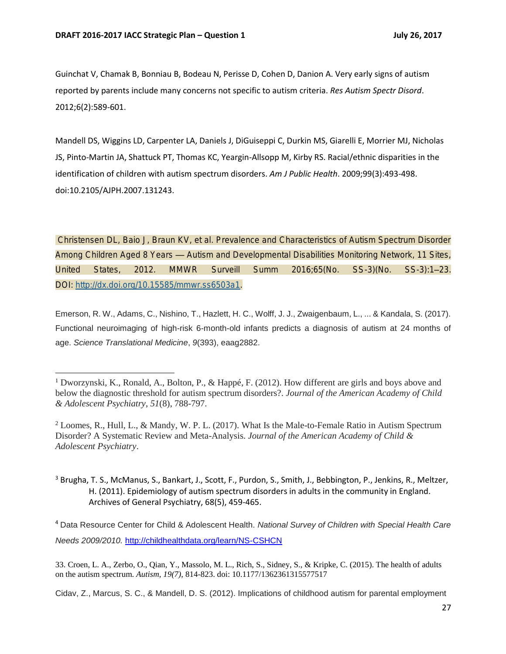$\overline{a}$ 

Guinchat V, Chamak B, Bonniau B, Bodeau N, Perisse D, Cohen D, Danion A. Very early signs of autism reported by parents include many concerns not specific to autism criteria. *Res Autism Spectr Disord*. 2012;6(2):589-601.

Mandell DS, Wiggins LD, Carpenter LA, Daniels J, DiGuiseppi C, Durkin MS, Giarelli E, Morrier MJ, Nicholas JS, Pinto-Martin JA, Shattuck PT, Thomas KC, Yeargin-Allsopp M, Kirby RS. Racial/ethnic disparities in the identification of children with autism spectrum disorders. *Am J Public Health*. 2009;99(3):493-498. doi:10.2105/AJPH.2007.131243.

Christensen DL, Baio J, Braun KV, et al. Prevalence and Characteristics of Autism Spectrum Disorder Among Children Aged 8 Years — Autism and Developmental Disabilities Monitoring Network, 11 Sites, United States, 2012. MMWR Surveill Summ 2016;65(No. SS-3)(No. SS-3):1–23. DOI: [http://dx.doi.org/10.15585/mmwr.ss6503a1.](http://dx.doi.org/10.15585/mmwr.ss6503a1)

Emerson, R. W., Adams, C., Nishino, T., Hazlett, H. C., Wolff, J. J., Zwaigenbaum, L., ... & Kandala, S. (2017). Functional neuroimaging of high-risk 6-month-old infants predicts a diagnosis of autism at 24 months of age. *Science Translational Medicine*, *9*(393), eaag2882.

<sup>4</sup> Data Resource Center for Child & Adolescent Health. *National Survey of Children with Special Health Care Needs 2009/2010.* <http://childhealthdata.org/learn/NS-CSHCN>

33. Croen, L. A., Zerbo, O., Qian, Y., Massolo, M. L., Rich, S., Sidney, S., & Kripke, C. (2015). The health of adults on the autism spectrum. *Autism, 19(7),* 814-823. doi: 10.1177/1362361315577517

Cidav, Z., Marcus, S. C., & Mandell, D. S. (2012). Implications of childhood autism for parental employment

<sup>1</sup> Dworzynski, K., Ronald, A., Bolton, P., & Happé, F. (2012). How different are girls and boys above and below the diagnostic threshold for autism spectrum disorders?. *Journal of the American Academy of Child & Adolescent Psychiatry*, *51*(8), 788-797.

<sup>2</sup> Loomes, R., Hull, L., & Mandy, W. P. L. (2017). What Is the Male-to-Female Ratio in Autism Spectrum Disorder? A Systematic Review and Meta-Analysis. *Journal of the American Academy of Child & Adolescent Psychiatry*.

<sup>&</sup>lt;sup>3</sup> Brugha, T. S., McManus, S., Bankart, J., Scott, F., Purdon, S., Smith, J., Bebbington, P., Jenkins, R., Meltzer, H. (2011). Epidemiology of autism spectrum disorders in adults in the community in England. Archives of General Psychiatry, 68(5), 459-465.